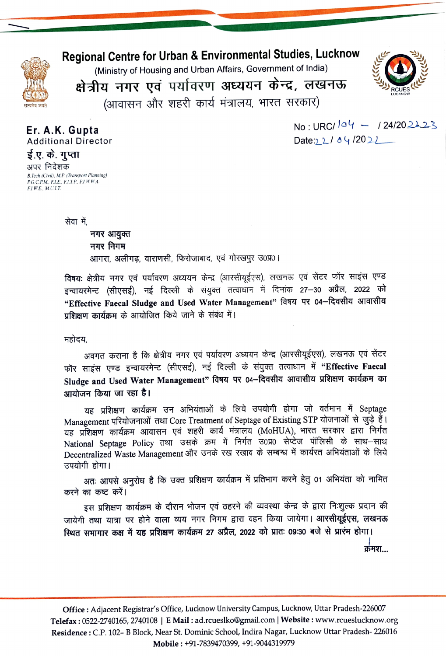

F.I.W.E., M.U.I.T.

## Regional Centre for Urban & Environmental Studies, Lucknow

(Ministry of Housing and Urban Affairs, Government of India)



क्षेत्रीय नगर एवं पर्यावरण अध्ययन केन्द्र, लखनऊ (आवासन और शहरी कार्य मंत्रालय, भारत सरकार)

Er. A.K. Gupta **Additional Director** ई.ए. के. गुप्ता अपर निदेशक B.Tech (Civil), M.P. (Transport Planning) P.G.C.P.M., F.I.E., F.I.T.P., F.I.W.W.A.,

 $No \cdot URCl$   $04 - 124/202223$ Date:  $2/84/2022$ 

सेवा में

नगर आयुक्त नगर निगम आगरा, अलीगढ, वाराणसी, फिरोजाबाद, एवं गोरखपुर उ0प्र0।

विषयः क्षेत्रीय नगर एवं पर्यावरण अध्ययन केन्द्र (आरसीयूईएस), लखनऊ एवं सेंटर फॉर साइंस एण्ड इन्वायरमेन्ट (सीएसई), नई दिल्ली के संयुक्त तत्वाधान में दिनांक 27–30 अप्रैल, 2022 को "Effective Faecal Sludge and Used Water Management" विषय पर 04-दिवसीय आवासीय प्रशिक्षण कार्यक्रम के आयोजित किये जाने के संबंध में।

महोदय,

अवगत कराना है कि क्षेत्रीय नगर एवं पर्यावरण अध्ययन केन्द्र (आरसीयूईएस), लखनऊ एवं सेंटर फॉर साइंस एण्ड इन्वायरमेन्ट (सीएसई), नई दिल्ली के संयुक्त तत्वाधान में "Effective Faecal Sludge and Used Water Management" विषय पर 04-दिवसीय आवासीय प्रशिक्षण कार्यक्रम का आयोजन किया जा रहा है।

यह प्रशिक्षण कार्यक्रम उन अभियंताओं के लिये उपयोगी होगा जो वर्तमान में Septage Management परियोजनाओं तथा Core Treatment of Septage of Existing STP योजनाओं से जुड़े हैं। यह प्रशिक्षण कार्यक्रम आवासन एवं शहरी कार्य मंत्रालय (MoHUA), भारत सरकार द्वारा निर्गत National Septage Policy तथा उसके क्रम में निर्गत उ0प्र0 सेप्टेज पॉलिसी के साथ-साथ Decentralized Waste Management और उनके रख रखाव के सम्बन्ध में कार्यरत अभियंताओं के लिये उपयोगी होगा।

अतः आपसे अनुरोध है कि उक्त प्रशिक्षण कार्यक्रम में प्रतिभाग करने हेतु 01 अभियंता को नामित करने का कष्ट करें।

इस प्रशिक्षण कार्यक्रम के दौरान भोजन एवं ठहरने की व्यवस्था केन्द्र के द्वारा निःशुल्क प्रदान की जायेगी तथा यात्रा पर होने वाला व्यय नगर निगम द्वारा वहन किया जायेगा। आरसीयूईएस, लखनऊ स्थित सभागार कक्ष में यह प्रशिक्षण कार्यक्रम 27 अप्रैल, 2022 को प्रातः 09:30 बजे से प्रारंभ होगा।

क्रमश….

Office : Adjacent Registrar's Office, Lucknow University Campus, Lucknow, Uttar Pradesh-226007 Telefax: 0522-2740165, 2740108 | E Mail: ad.rcueslko@gmail.com | Website: www.rcueslucknow.org Residence : C.P. 102- B Block, Near St. Dominic School, Indira Nagar, Lucknow Uttar Pradesh-226016 Mobile: +91-7839470399, +91-9044319979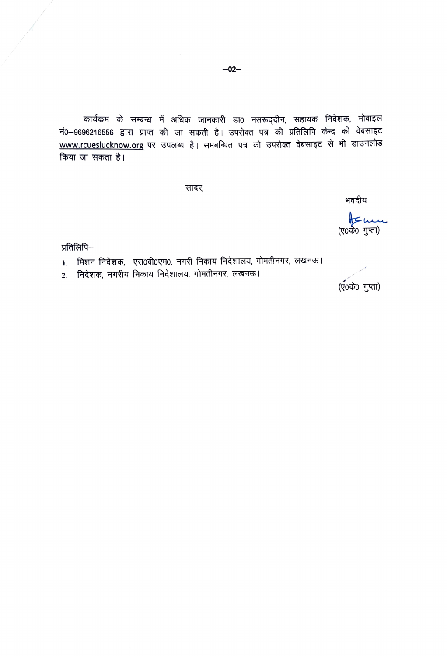कार्यक्रम के सम्बन्ध में अधिक जानकारी डा0 नसरूद्दीन, सहायक निदेशक, मोबाइल नं0–9696216556 द्वारा प्राप्त की जा सकती है। उपरोक्त पत्र की प्रतिलिपि केन्द्र की वेबसाइट www.rcueslucknow.org पर उपलब्ध है। समबन्धित पत्र को उपरोक्त वेबसाइट से भी डाउनलोड किया जा सकता है।

सादर,

भवदीय

nt me

प्रतिलिपि—

- 1. मिशन निदेशक, एस0बी0एम0, नगरी निकाय निदेशालय, गोमतीनगर, लखनऊ।
- 2. निदेशक, नगरीय निकाय निदेशालय, गोमतीनगर, लखनऊ।

(ए०के० गुप्ता)